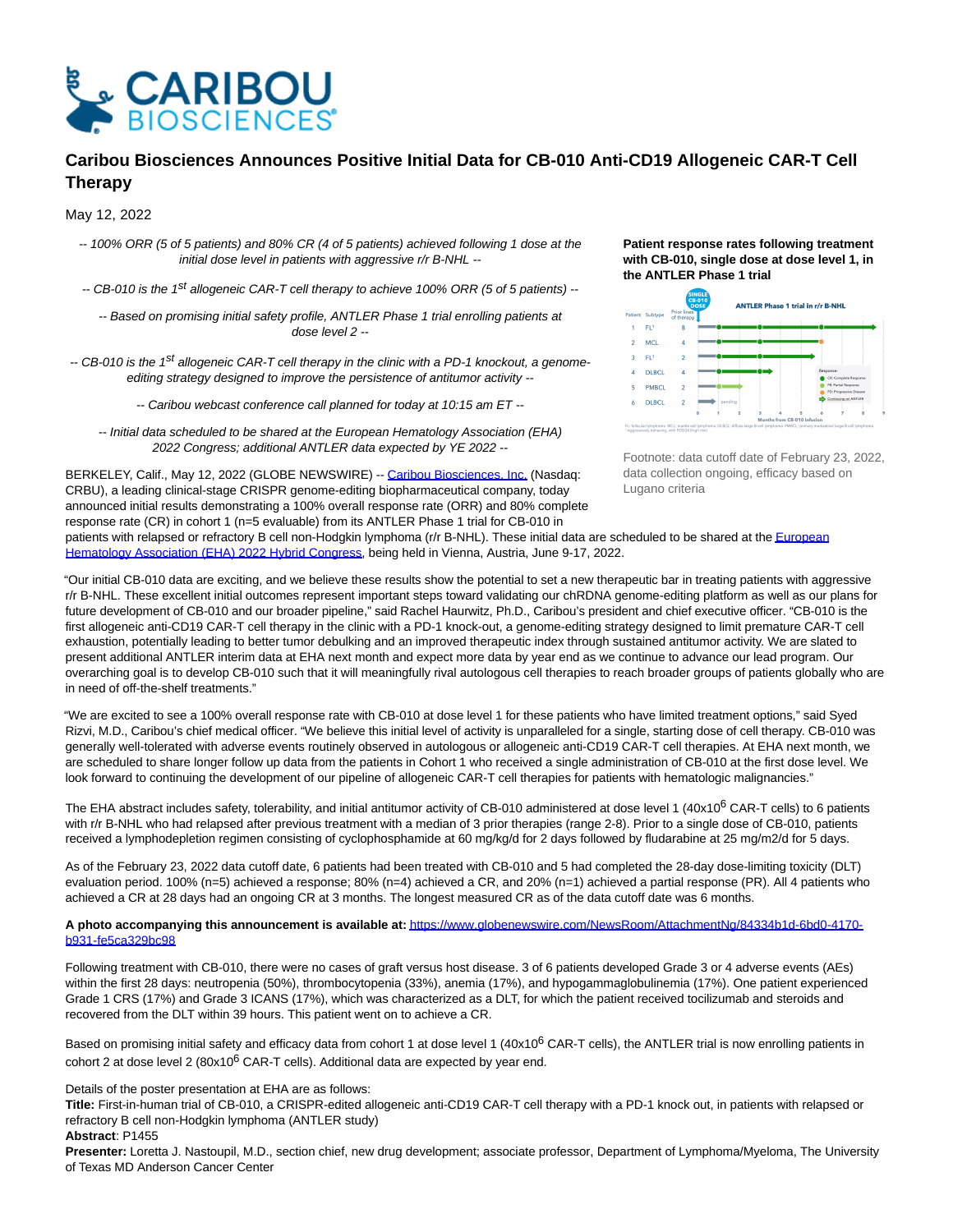

# **Caribou Biosciences Announces Positive Initial Data for CB-010 Anti-CD19 Allogeneic CAR-T Cell Therapy**

May 12, 2022

-- 100% ORR (5 of 5 patients) and 80% CR (4 of 5 patients) achieved following 1 dose at the initial dose level in patients with aggressive r/r B-NHL --

-- CB-010 is the 1<sup>st</sup> allogeneic CAR-T cell therapy to achieve 100% ORR (5 of 5 patients) --

-- Based on promising initial safety profile, ANTLER Phase 1 trial enrolling patients at dose level 2 --

-- CB-010 is the 1<sup>st</sup> allogeneic CAR-T cell therapy in the clinic with a PD-1 knockout, a genomeediting strategy designed to improve the persistence of antitumor activity --

-- Caribou webcast conference call planned for today at 10:15 am ET --

-- Initial data scheduled to be shared at the European Hematology Association (EHA) 2022 Congress; additional ANTLER data expected by YE 2022 --

BERKELEY, Calif., May 12, 2022 (GLOBE NEWSWIRE) -[- Caribou Biosciences, Inc. \(](https://www.globenewswire.com/Tracker?data=blAIikcCo4JViuAv1iu1Xd7683d6XrjYQQEbYxnD3CewgV-xSadMH0OqAz_4SOz56etnkhpZ7i44KpbWz9_iN2l6N6IdZnWD-u_f8RaAk9c=)Nasdaq: CRBU), a leading clinical-stage CRISPR genome-editing biopharmaceutical company, today announced initial results demonstrating a 100% overall response rate (ORR) and 80% complete response rate (CR) in cohort 1 (n=5 evaluable) from its ANTLER Phase 1 trial for CB-010 in

## **Patient response rates following treatment with CB-010, single dose at dose level 1, in the ANTLER Phase 1 trial**



Footnote: data cutoff date of February 23, 2022, data collection ongoing, efficacy based on Lugano criteria

patients with relapsed or refractory B cell non-Hodgkin lymphoma (r/r B-NHL). These initial data are scheduled to be shared at th[e European](https://www.globenewswire.com/Tracker?data=_tKiGPBO6P5u-P6IH5tyyJdF2eIY41jsxwRDFowGz-zWryKKWu2X4yBXZHrNmpWGYuKF1UtbZIfhkpNQNdDwNOded3TOEPq45I3XKNZyX_GWyFXpazN3YG0OzQVX0lvZmXO6uYSD9SZgjcoyl77Uziv4GWJAdKO_vr1xMyWwMhqQPL7_3xjkRW5Jmb5xlRTN) Hematology Association (EHA) 2022 Hybrid Congress, being held in Vienna, Austria, June 9-17, 2022.

"Our initial CB-010 data are exciting, and we believe these results show the potential to set a new therapeutic bar in treating patients with aggressive r/r B-NHL. These excellent initial outcomes represent important steps toward validating our chRDNA genome-editing platform as well as our plans for future development of CB-010 and our broader pipeline," said Rachel Haurwitz, Ph.D., Caribou's president and chief executive officer. "CB-010 is the first allogeneic anti-CD19 CAR-T cell therapy in the clinic with a PD-1 knock-out, a genome-editing strategy designed to limit premature CAR-T cell exhaustion, potentially leading to better tumor debulking and an improved therapeutic index through sustained antitumor activity. We are slated to present additional ANTLER interim data at EHA next month and expect more data by year end as we continue to advance our lead program. Our overarching goal is to develop CB-010 such that it will meaningfully rival autologous cell therapies to reach broader groups of patients globally who are in need of off-the-shelf treatments."

"We are excited to see a 100% overall response rate with CB-010 at dose level 1 for these patients who have limited treatment options," said Syed Rizvi, M.D., Caribou's chief medical officer. "We believe this initial level of activity is unparalleled for a single, starting dose of cell therapy. CB-010 was generally well-tolerated with adverse events routinely observed in autologous or allogeneic anti-CD19 CAR-T cell therapies. At EHA next month, we are scheduled to share longer follow up data from the patients in Cohort 1 who received a single administration of CB-010 at the first dose level. We look forward to continuing the development of our pipeline of allogeneic CAR-T cell therapies for patients with hematologic malignancies."

The EHA abstract includes safety, tolerability, and initial antitumor activity of CB-010 administered at dose level 1 (40x10<sup>6</sup> CAR-T cells) to 6 patients with r/r B-NHL who had relapsed after previous treatment with a median of 3 prior therapies (range 2-8). Prior to a single dose of CB-010, patients received a lymphodepletion regimen consisting of cyclophosphamide at 60 mg/kg/d for 2 days followed by fludarabine at 25 mg/m2/d for 5 days.

As of the February 23, 2022 data cutoff date, 6 patients had been treated with CB-010 and 5 had completed the 28-day dose-limiting toxicity (DLT) evaluation period. 100% (n=5) achieved a response; 80% (n=4) achieved a CR, and 20% (n=1) achieved a partial response (PR). All 4 patients who achieved a CR at 28 days had an ongoing CR at 3 months. The longest measured CR as of the data cutoff date was 6 months.

# **A photo accompanying this announcement is available at:** [https://www.globenewswire.com/NewsRoom/AttachmentNg/84334b1d-6bd0-4170](https://www.globenewswire.com/Tracker?data=EkRqbouaPzTlS07HiKGwTbMsc7jtJaeNZb6V6z_cTIqh9TCCxXpgpPX2mUWieWoCb93LBhR8aj3FM8GvomPVN9QxZzElgPGtlTTvp6Tlw_jNcCnYLNNvwNRohaJuimlz6IKuMOxgDBRASHxHDuCH8bx5CjcG9saQwUZ_arLh4xLB94ZcyZmGuWUlW-Iddj25FXfRYfXoQpvM9IiyVqOZNcW0m_7-9tccFFGXd4S2HWsUfxZke74FLyoLiGtAt8W1HdSOOeF24gqJUFHf-_kKhw==) b931-fe5ca329bc98

Following treatment with CB-010, there were no cases of graft versus host disease. 3 of 6 patients developed Grade 3 or 4 adverse events (AEs) within the first 28 days: neutropenia (50%), thrombocytopenia (33%), anemia (17%), and hypogammaglobulinemia (17%). One patient experienced Grade 1 CRS (17%) and Grade 3 ICANS (17%), which was characterized as a DLT, for which the patient received tocilizumab and steroids and recovered from the DLT within 39 hours. This patient went on to achieve a CR.

Based on promising initial safety and efficacy data from cohort 1 at dose level 1 (40x10<sup>6</sup> CAR-T cells), the ANTLER trial is now enrolling patients in cohort 2 at dose level 2 (80x10 $^6$  CAR-T cells). Additional data are expected by year end.

Details of the poster presentation at EHA are as follows:

**Title:** First-in-human trial of CB-010, a CRISPR-edited allogeneic anti-CD19 CAR-T cell therapy with a PD-1 knock out, in patients with relapsed or refractory B cell non-Hodgkin lymphoma (ANTLER study)

## **Abstract**: P1455

**Presenter:** Loretta J. Nastoupil, M.D., section chief, new drug development; associate professor, Department of Lymphoma/Myeloma, The University of Texas MD Anderson Cancer Center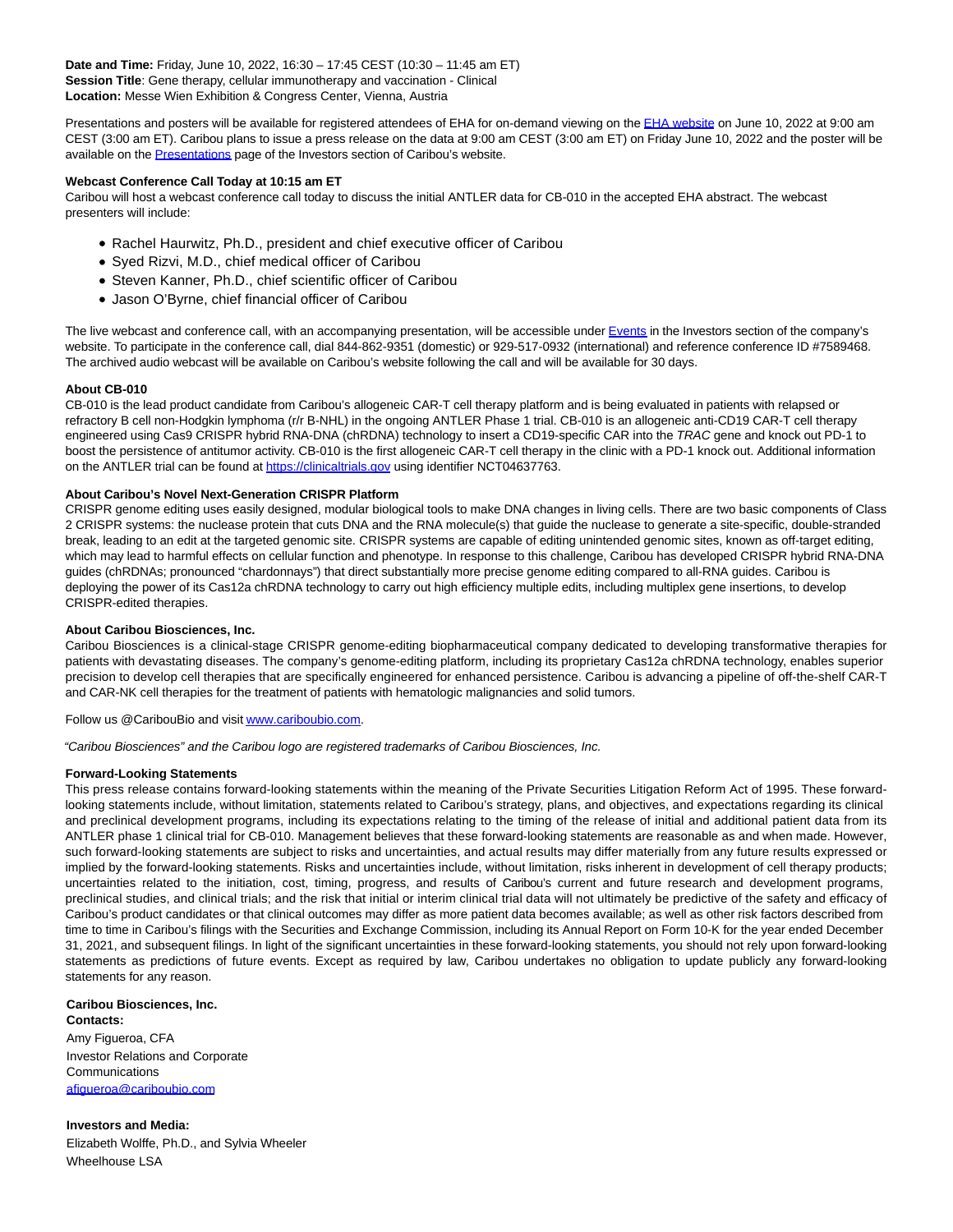**Date and Time:** Friday, June 10, 2022, 16:30 – 17:45 CEST (10:30 – 11:45 am ET) **Session Title**: Gene therapy, cellular immunotherapy and vaccination - Clinical **Location:** Messe Wien Exhibition & Congress Center, Vienna, Austria

Presentations and posters will be available for registered attendees of EHA for on-demand viewing on the [EHA website o](https://www.globenewswire.com/Tracker?data=BgmBDR5RglP1dAMEUtd3humLZ4Ci4Qh2SbBsOFrjUrJyMi8vr2hs0lKNyziiJB3jtcz0B4InfzGFZoYwvlOiGQ==)n June 10, 2022 at 9:00 am CEST (3:00 am ET). Caribou plans to issue a press release on the data at 9:00 am CEST (3:00 am ET) on Friday June 10, 2022 and the poster will be available on the **Presentations** page of the Investors section of Caribou's website.

## **Webcast Conference Call Today at 10:15 am ET**

Caribou will host a webcast conference call today to discuss the initial ANTLER data for CB-010 in the accepted EHA abstract. The webcast presenters will include:

- Rachel Haurwitz, Ph.D., president and chief executive officer of Caribou
- Syed Rizvi, M.D., chief medical officer of Caribou
- Steven Kanner, Ph.D., chief scientific officer of Caribou
- Jason O'Byrne, chief financial officer of Caribou

The live webcast and conference call, with an accompanying presentation, will be accessible unde[r Events i](https://www.globenewswire.com/Tracker?data=j_H27Upj5nm8O--kxMSjUo38cAjW6b8mNKOiH0CSKn0dyDFnP1aHTsW5YZQkAzLj0_eT4ix0wk3_FWmTLbLRpQofSrurE-YE6Ps4o5iLS_M=)n the Investors section of the company's website. To participate in the conference call, dial 844-862-9351 (domestic) or 929-517-0932 (international) and reference conference ID #7589468. The archived audio webcast will be available on Caribou's website following the call and will be available for 30 days.

## **About CB-010**

CB-010 is the lead product candidate from Caribou's allogeneic CAR-T cell therapy platform and is being evaluated in patients with relapsed or refractory B cell non-Hodgkin lymphoma (r/r B-NHL) in the ongoing ANTLER Phase 1 trial. CB-010 is an allogeneic anti-CD19 CAR-T cell therapy engineered using Cas9 CRISPR hybrid RNA-DNA (chRDNA) technology to insert a CD19-specific CAR into the TRAC gene and knock out PD-1 to boost the persistence of antitumor activity. CB-010 is the first allogeneic CAR-T cell therapy in the clinic with a PD-1 knock out. Additional information on the ANTLER trial can be found a[t https://clinicaltrials.gov u](https://www.globenewswire.com/Tracker?data=EkRqbouaPzTlS07HiKGwTZ_4P_zGL2V1-awM-ynzchEpzTf2etE6_4Ud1ltlMHRb0KekJBz3R6Z9QtKz8TMKEduYCFJxj9F7QV_fjT-M1xU=)sing identifier NCT04637763.

## **About Caribou's Novel Next-Generation CRISPR Platform**

CRISPR genome editing uses easily designed, modular biological tools to make DNA changes in living cells. There are two basic components of Class 2 CRISPR systems: the nuclease protein that cuts DNA and the RNA molecule(s) that guide the nuclease to generate a site-specific, double-stranded break, leading to an edit at the targeted genomic site. CRISPR systems are capable of editing unintended genomic sites, known as off-target editing, which may lead to harmful effects on cellular function and phenotype. In response to this challenge, Caribou has developed CRISPR hybrid RNA-DNA guides (chRDNAs; pronounced "chardonnays") that direct substantially more precise genome editing compared to all-RNA guides. Caribou is deploying the power of its Cas12a chRDNA technology to carry out high efficiency multiple edits, including multiplex gene insertions, to develop CRISPR-edited therapies.

#### **About Caribou Biosciences, Inc.**

Caribou Biosciences is a clinical-stage CRISPR genome-editing biopharmaceutical company dedicated to developing transformative therapies for patients with devastating diseases. The company's genome-editing platform, including its proprietary Cas12a chRDNA technology, enables superior precision to develop cell therapies that are specifically engineered for enhanced persistence. Caribou is advancing a pipeline of off-the-shelf CAR-T and CAR-NK cell therapies for the treatment of patients with hematologic malignancies and solid tumors.

Follow us @CaribouBio and visi[t www.cariboubio.com.](https://www.globenewswire.com/Tracker?data=lLkSHezaXO02_CntoQzw0gTnLepo3rElOg34XaukRbWWcLKWmSyaKzCvRF6fi3v2bnKmWJS9gbIpX91IFUoi6uRamwICJtDCuHSzVaL6n4g=)

"Caribou Biosciences" and the Caribou logo are registered trademarks of Caribou Biosciences, Inc.

#### **Forward-Looking Statements**

This press release contains forward-looking statements within the meaning of the Private Securities Litigation Reform Act of 1995. These forwardlooking statements include, without limitation, statements related to Caribou's strategy, plans, and objectives, and expectations regarding its clinical and preclinical development programs, including its expectations relating to the timing of the release of initial and additional patient data from its ANTLER phase 1 clinical trial for CB-010. Management believes that these forward-looking statements are reasonable as and when made. However, such forward-looking statements are subject to risks and uncertainties, and actual results may differ materially from any future results expressed or implied by the forward-looking statements. Risks and uncertainties include, without limitation, risks inherent in development of cell therapy products; uncertainties related to the initiation, cost, timing, progress, and results of Caribou's current and future research and development programs, preclinical studies, and clinical trials; and the risk that initial or interim clinical trial data will not ultimately be predictive of the safety and efficacy of Caribou's product candidates or that clinical outcomes may differ as more patient data becomes available; as well as other risk factors described from time to time in Caribou's filings with the Securities and Exchange Commission, including its Annual Report on Form 10-K for the year ended December 31, 2021, and subsequent filings. In light of the significant uncertainties in these forward-looking statements, you should not rely upon forward-looking statements as predictions of future events. Except as required by law, Caribou undertakes no obligation to update publicly any forward-looking statements for any reason.

**Caribou Biosciences, Inc. Contacts:** Amy Figueroa, CFA Investor Relations and Corporate **Communications** [afigueroa@cariboubio.com](mailto:afigueroa@cariboubio.com)

**Investors and Media:** Elizabeth Wolffe, Ph.D., and Sylvia Wheeler Wheelhouse LSA